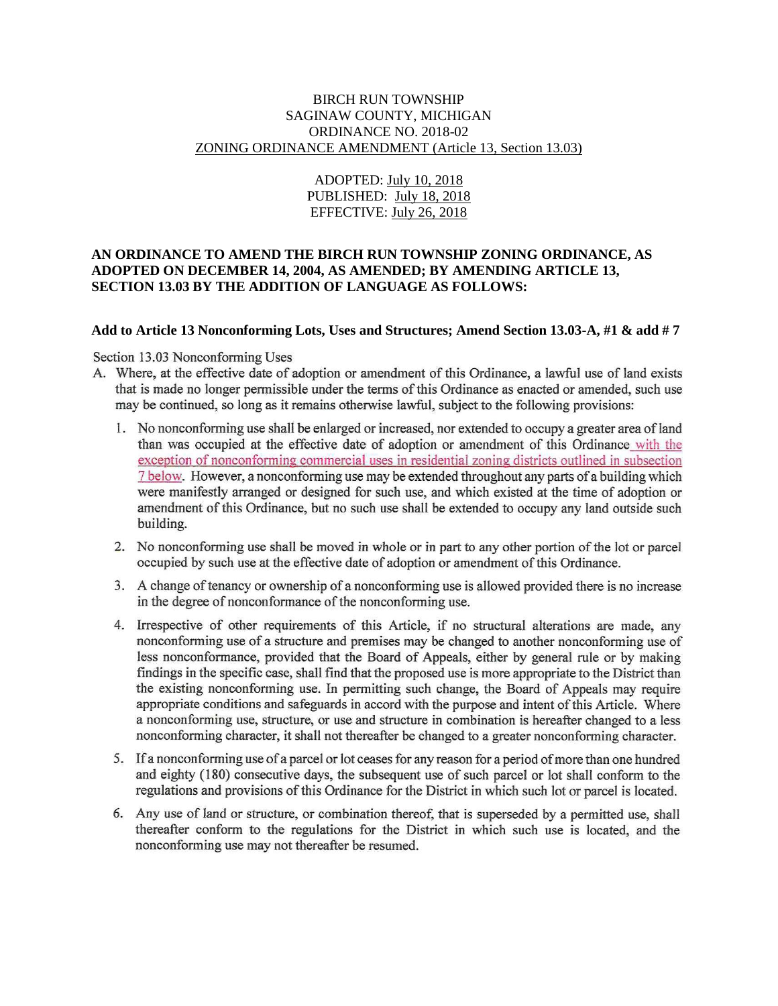#### BIRCH RUN TOWNSHIP SAGINAW COUNTY, MICHIGAN ORDINANCE NO. 2018-02 ZONING ORDINANCE AMENDMENT (Article 13, Section 13.03)

# ADOPTED: July 10, 2018 PUBLISHED: July 18, 2018 EFFECTIVE: July 26, 2018

## **AN ORDINANCE TO AMEND THE BIRCH RUN TOWNSHIP ZONING ORDINANCE, AS ADOPTED ON DECEMBER 14, 2004, AS AMENDED; BY AMENDING ARTICLE 13, SECTION 13.03 BY THE ADDITION OF LANGUAGE AS FOLLOWS:**

#### **Add to Article 13 Nonconforming Lots, Uses and Structures; Amend Section 13.03-A, #1 & add # 7**

Section 13.03 Nonconforming Uses

- A. Where, at the effective date of adoption or amendment of this Ordinance, a lawful use of land exists that is made no longer permissible under the terms of this Ordinance as enacted or amended, such use may be continued, so long as it remains otherwise lawful, subject to the following provisions:
	- 1. No nonconforming use shall be enlarged or increased, nor extended to occupy a greater area of land than was occupied at the effective date of adoption or amendment of this Ordinance with the exception of nonconforming commercial uses in residential zoning districts outlined in subsection 7 below. However, a nonconforming use may be extended throughout any parts of a building which were manifestly arranged or designed for such use, and which existed at the time of adoption or amendment of this Ordinance, but no such use shall be extended to occupy any land outside such building.
	- 2. No nonconforming use shall be moved in whole or in part to any other portion of the lot or parcel occupied by such use at the effective date of adoption or amendment of this Ordinance.
	- 3. A change of tenancy or ownership of a nonconforming use is allowed provided there is no increase in the degree of nonconformance of the nonconforming use.
	- 4. Irrespective of other requirements of this Article, if no structural alterations are made, any nonconforming use of a structure and premises may be changed to another nonconforming use of less nonconformance, provided that the Board of Appeals, either by general rule or by making findings in the specific case, shall find that the proposed use is more appropriate to the District than the existing nonconforming use. In permitting such change, the Board of Appeals may require appropriate conditions and safeguards in accord with the purpose and intent of this Article. Where a nonconforming use, structure, or use and structure in combination is hereafter changed to a less nonconforming character, it shall not thereafter be changed to a greater nonconforming character.
	- 5. If a nonconforming use of a parcel or lot ceases for any reason for a period of more than one hundred and eighty (180) consecutive days, the subsequent use of such parcel or lot shall conform to the regulations and provisions of this Ordinance for the District in which such lot or parcel is located.
	- 6. Any use of land or structure, or combination thereof, that is superseded by a permitted use, shall thereafter conform to the regulations for the District in which such use is located, and the nonconforming use may not thereafter be resumed.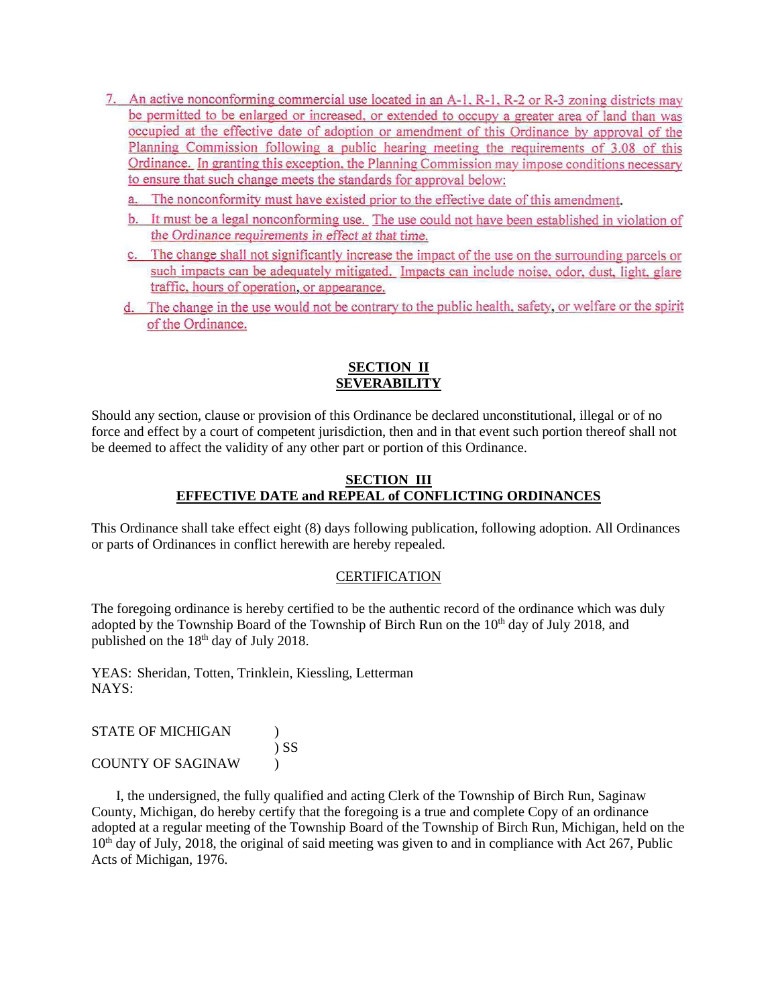- 7. An active nonconforming commercial use located in an A-1, R-1, R-2 or R-3 zoning districts may be permitted to be enlarged or increased, or extended to occupy a greater area of land than was occupied at the effective date of adoption or amendment of this Ordinance by approval of the Planning Commission following a public hearing meeting the requirements of 3.08 of this Ordinance. In granting this exception, the Planning Commission may impose conditions necessary to ensure that such change meets the standards for approval below:
	- a. The nonconformity must have existed prior to the effective date of this amendment.
	- b. It must be a legal nonconforming use. The use could not have been established in violation of the Ordinance requirements in effect at that time.
	- c. The change shall not significantly increase the impact of the use on the surrounding parcels or such impacts can be adequately mitigated. Impacts can include noise, odor, dust, light, glare traffic, hours of operation, or appearance.
	- d. The change in the use would not be contrary to the public health, safety, or welfare or the spirit of the Ordinance.

# **SECTION II SEVERABILITY**

Should any section, clause or provision of this Ordinance be declared unconstitutional, illegal or of no force and effect by a court of competent jurisdiction, then and in that event such portion thereof shall not be deemed to affect the validity of any other part or portion of this Ordinance.

### **SECTION III EFFECTIVE DATE and REPEAL of CONFLICTING ORDINANCES**

This Ordinance shall take effect eight (8) days following publication, following adoption. All Ordinances or parts of Ordinances in conflict herewith are hereby repealed.

### **CERTIFICATION**

The foregoing ordinance is hereby certified to be the authentic record of the ordinance which was duly adopted by the Township Board of the Township of Birch Run on the 10<sup>th</sup> day of July 2018, and published on the 18<sup>th</sup> day of July 2018.

YEAS: Sheridan, Totten, Trinklein, Kiessling, Letterman NAYS:

| <b>STATE OF MICHIGAN</b> |        |
|--------------------------|--------|
|                          | $\sum$ |
| COUNTY OF SAGINAW        |        |

 I, the undersigned, the fully qualified and acting Clerk of the Township of Birch Run, Saginaw County, Michigan, do hereby certify that the foregoing is a true and complete Copy of an ordinance adopted at a regular meeting of the Township Board of the Township of Birch Run, Michigan, held on the 10<sup>th</sup> day of July, 2018, the original of said meeting was given to and in compliance with Act 267, Public Acts of Michigan, 1976.